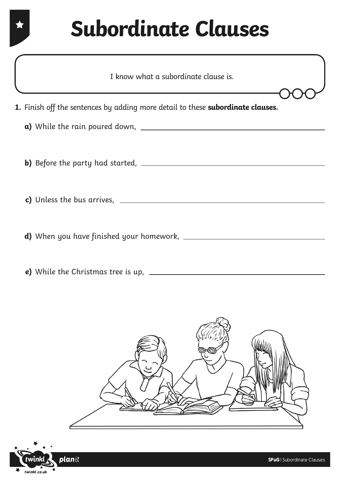| I know what a subordinate clause is.                                                   |
|----------------------------------------------------------------------------------------|
| 1. Finish off the sentences by adding more detail to these <b>subordinate clauses.</b> |
|                                                                                        |
| <b>b)</b> Before the party had started, $\frac{1}{2}$ <b>b</b>                         |
| c) Unless the bus arrives, $\overline{\phantom{a} \phantom{a}}$                        |
|                                                                                        |

**e)** While the Christmas tree is up,



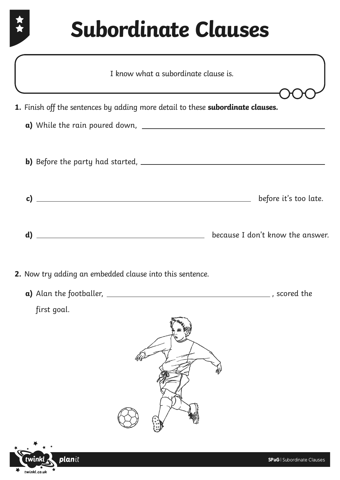文文

planit

\_

twinkl

 $\begin{array}{cc}\n\star & \star & \star \\
\star & \text{twinkl.co.uk}\n\end{array}$ 

| I know what a subordinate clause is.<br><u> 1989 - Johann Stein, marwolaethau a bhann an t-Amhain an t-Amhain an t-Amhain an t-Amhain an t-Amhain an t-A</u> |                                  |
|--------------------------------------------------------------------------------------------------------------------------------------------------------------|----------------------------------|
| 1. Finish off the sentences by adding more detail to these <b>subordinate clauses.</b>                                                                       |                                  |
|                                                                                                                                                              |                                  |
|                                                                                                                                                              |                                  |
| c) $\overline{\phantom{a}}$                                                                                                                                  | before it's too late.            |
|                                                                                                                                                              | because I don't know the answer. |
| 2. Now try adding an embedded clause into this sentence.                                                                                                     |                                  |
|                                                                                                                                                              |                                  |
| first goal.                                                                                                                                                  |                                  |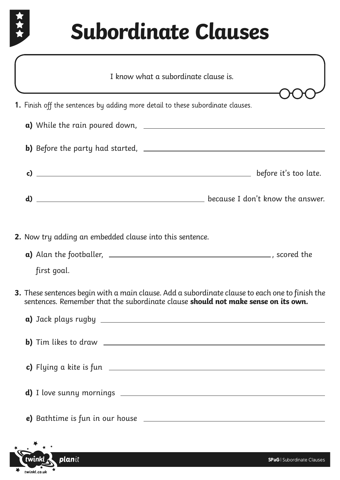

| I know what a subordinate clause is.                                                                                                                                                        |
|---------------------------------------------------------------------------------------------------------------------------------------------------------------------------------------------|
| 1. Finish off the sentences by adding more detail to these subordinate clauses.                                                                                                             |
|                                                                                                                                                                                             |
|                                                                                                                                                                                             |
| $\mathsf{c})$ $\hspace{0.4cm}$ before it's too late.                                                                                                                                        |
| d) $\Box$                                                                                                                                                                                   |
| <b>2.</b> Now try adding an embedded clause into this sentence.                                                                                                                             |
| first goal.                                                                                                                                                                                 |
| <b>3.</b> These sentences begin with a main clause. Add a subordinate clause to each one to finish the<br>sentences. Remember that the subordinate clause should not make sense on its own. |
|                                                                                                                                                                                             |
| c) Flying a kite is fun $\sqrt{2\pi}$                                                                                                                                                       |
|                                                                                                                                                                                             |
|                                                                                                                                                                                             |
|                                                                                                                                                                                             |

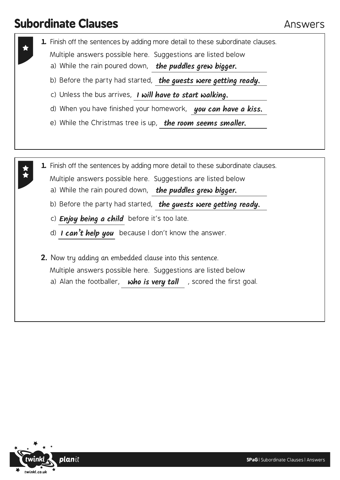- **1.** Finish off the sentences by adding more detail to these subordinate clauses.
	- Multiple answers possible here. Suggestions are listed below
	- a) While the rain poured down, **the puddles grew bigger.**
	- b) Before the party had started, **the guests were getting ready.**
	- c) Unless the bus arrives, **I will have to start walking.**
	- d) When you have finished your homework, **you can have a kiss.**
	- e) While the Christmas tree is up, **the room seems smaller.**
- **1.** Finish off the sentences by adding more detail to these subordinate clauses.
	- Multiple answers possible here. Suggestions are listed below
		- a) While the rain poured down, **the puddles grew bigger.**
		- b) Before the party had started, **the guests were getting ready.**
		- c) *Enjoy being a child* before it's too late.
		- d) I can't help you because I don't know the answer.
	- **2.** Now try adding an embedded clause into this sentence. Multiple answers possible here. Suggestions are listed below a) Alan the footballer, , scored the first goal. **who is very tall**